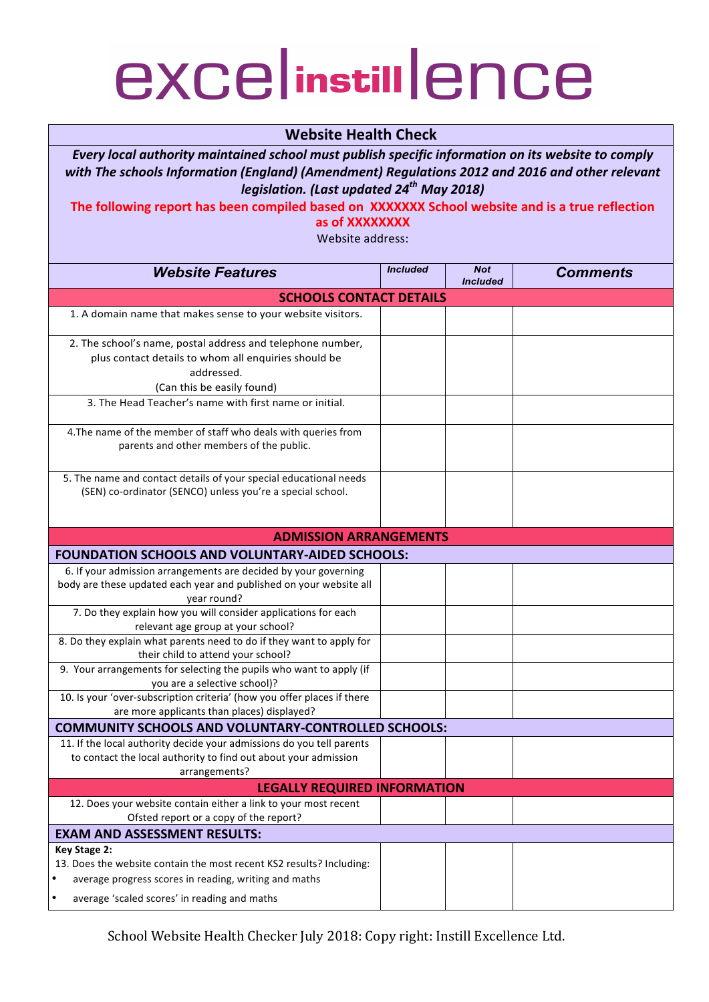## excelinstillence

## **Website Health Check**

*Every local authority maintained school must publish specific information on its website to comply* with The schools Information (England) (Amendment) Regulations 2012 and 2016 and other relevant *legislation. (Last updated 24th May 2018)*

The following report has been compiled based on XXXXXXX School website and is a true reflection **as of XXXXXXXX** 

Website address:

| <b>Website Features</b>                                                                                                                                                                                                                                                                                                                | <b>Included</b> | <b>Not</b><br><b>Included</b> | <b>Comments</b> |  |  |  |
|----------------------------------------------------------------------------------------------------------------------------------------------------------------------------------------------------------------------------------------------------------------------------------------------------------------------------------------|-----------------|-------------------------------|-----------------|--|--|--|
| <b>SCHOOLS CONTACT DETAILS</b>                                                                                                                                                                                                                                                                                                         |                 |                               |                 |  |  |  |
| 1. A domain name that makes sense to your website visitors.                                                                                                                                                                                                                                                                            |                 |                               |                 |  |  |  |
| 2. The school's name, postal address and telephone number,<br>plus contact details to whom all enquiries should be<br>addressed.<br>(Can this be easily found)<br>3. The Head Teacher's name with first name or initial.<br>4. The name of the member of staff who deals with queries from<br>parents and other members of the public. |                 |                               |                 |  |  |  |
| 5. The name and contact details of your special educational needs<br>(SEN) co-ordinator (SENCO) unless you're a special school.                                                                                                                                                                                                        |                 |                               |                 |  |  |  |
| <b>ADMISSION ARRANGEMENTS</b>                                                                                                                                                                                                                                                                                                          |                 |                               |                 |  |  |  |
| <b>FOUNDATION SCHOOLS AND VOLUNTARY-AIDED SCHOOLS:</b>                                                                                                                                                                                                                                                                                 |                 |                               |                 |  |  |  |
| 6. If your admission arrangements are decided by your governing<br>body are these updated each year and published on your website all<br>year round?<br>7. Do they explain how you will consider applications for each                                                                                                                 |                 |                               |                 |  |  |  |
| relevant age group at your school?                                                                                                                                                                                                                                                                                                     |                 |                               |                 |  |  |  |
| 8. Do they explain what parents need to do if they want to apply for<br>their child to attend your school?                                                                                                                                                                                                                             |                 |                               |                 |  |  |  |
| 9. Your arrangements for selecting the pupils who want to apply (if<br>you are a selective school)?                                                                                                                                                                                                                                    |                 |                               |                 |  |  |  |
| 10. Is your 'over-subscription criteria' (how you offer places if there<br>are more applicants than places) displayed?                                                                                                                                                                                                                 |                 |                               |                 |  |  |  |
| <b>COMMUNITY SCHOOLS AND VOLUNTARY-CONTROLLED SCHOOLS:</b>                                                                                                                                                                                                                                                                             |                 |                               |                 |  |  |  |
| 11. If the local authority decide your admissions do you tell parents<br>to contact the local authority to find out about your admission<br>arrangements?                                                                                                                                                                              |                 |                               |                 |  |  |  |
| <b>LEGALLY REQUIRED INFORMATION</b>                                                                                                                                                                                                                                                                                                    |                 |                               |                 |  |  |  |
| 12. Does your website contain either a link to your most recent<br>Ofsted report or a copy of the report?                                                                                                                                                                                                                              |                 |                               |                 |  |  |  |
| <b>EXAM AND ASSESSMENT RESULTS:</b>                                                                                                                                                                                                                                                                                                    |                 |                               |                 |  |  |  |
| Key Stage 2:<br>13. Does the website contain the most recent KS2 results? Including:<br>average progress scores in reading, writing and maths                                                                                                                                                                                          |                 |                               |                 |  |  |  |
| average 'scaled scores' in reading and maths                                                                                                                                                                                                                                                                                           |                 |                               |                 |  |  |  |

School Website Health Checker July 2018: Copy right: Instill Excellence Ltd.